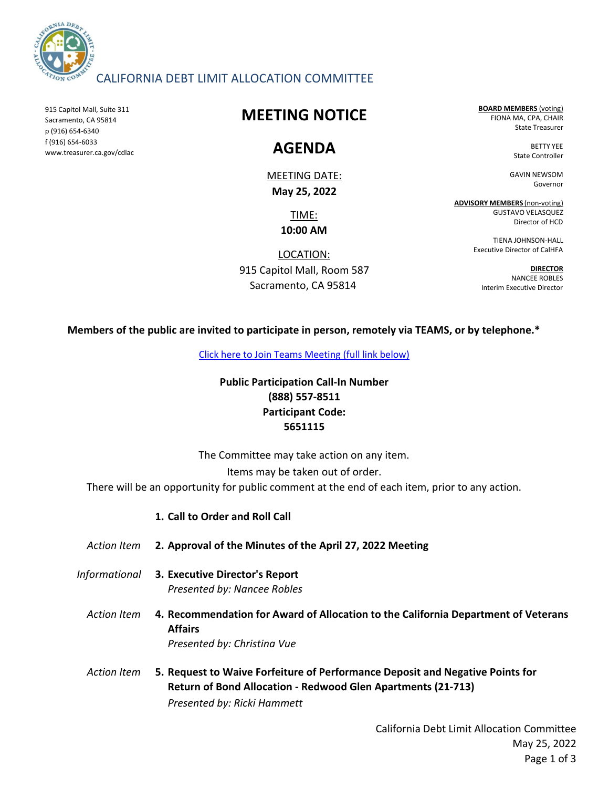

## CALIFORNIA DEBT LIMIT ALLOCATION COMMITTEE

915 Capitol Mall, Suite 311 Sacramento, CA 95814 p (916) 654-6340 f (916) 654-6033 www.treasurer.ca.gov/cdlac

## **MEETING NOTICE**

## **AGENDA**

MEETING DATE: **May 25, 2022**

> TIME: **10:00 AM**

LOCATION: 915 Capitol Mall, Room 587 Sacramento, CA 95814

**BOARD MEMBERS** (voting) FIONA MA, CPA, CHAIR State Treasurer

> BETTY YEE State Controller

GAVIN NEWSOM Governor

**ADVISORY MEMBERS** (non-voting) GUSTAVO VELASQUEZ Director of HCD

> TIENA JOHNSON-HALL Executive Director of CalHFA

**DIRECTOR** NANCEE ROBLES Interim Executive Director

**Members of the public are invited to participate in person, remotely via TEAMS, or by telephone.\***

[Click here to Join Teams Meeting \(full link below\)](https://teams.microsoft.com/l/meetup-join/19%3ameeting_ZGIzNmU1NDgtMjg2Ni00ZTRlLWFkNjAtOWNmMDZmYTUyMDA1%40thread.v2/0?context=%7b%22Tid%22%3a%223bee5c8a-6cb4-4c10-a77b-cd2eaeb7534e%22%2c%22Oid%22%3a%22f752cd03-38f5-48bd-b424-4bbeb3ad62eb%22%7d)

### **Public Participation Call-In Number (888) 557-8511 Participant Code: 5651115**

The Committee may take action on any item.

Items may be taken out of order.

There will be an opportunity for public comment at the end of each item, prior to any action.

### **1. Call to Order and Roll Call**

- *Action Item* **2. Approval of the Minutes of the April 27, 2022 Meeting**
- *Informational* **3. Executive Director's Report** *Presented by: Nancee Robles*
	- *Action Item* **4. Recommendation for Award of Allocation to the California Department of Veterans Affairs**  *Presented by: Christina Vue*
	- *Action Item* **5. Request to Waive Forfeiture of Performance Deposit and Negative Points for Return of Bond Allocation - Redwood Glen Apartments (21-713)**  *Presented by: Ricki Hammett*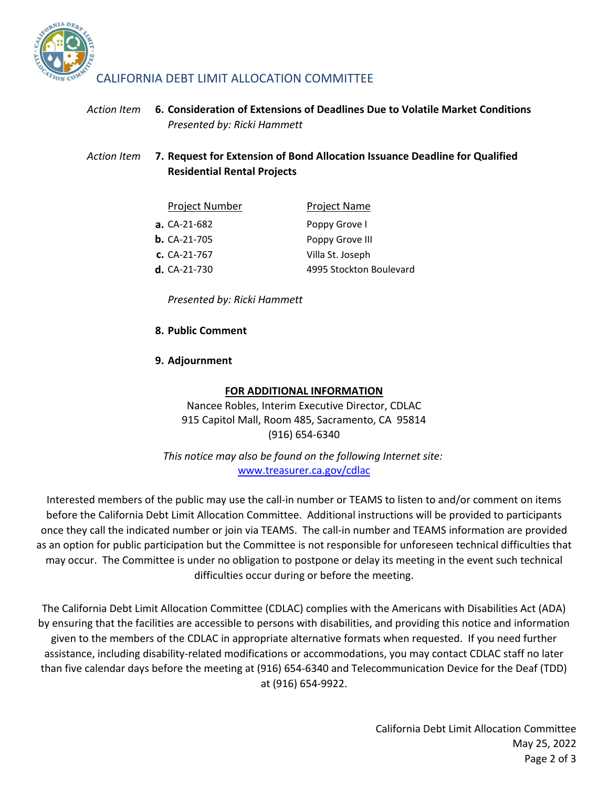

## CALIFORNIA DEBT LIMIT ALLOCATION COMMITTEE

#### *Action Item* **6.** *Presented by: Ricki Hammett* **Consideration of Extensions of Deadlines Due to Volatile Market Conditions**

*Action Item* **7. Request for Extension of Bond Allocation Issuance Deadline for Qualified Residential Rental Projects** 

| <b>Project Number</b> | <b>Project Name</b>     |
|-----------------------|-------------------------|
| a. $CA-21-682$        | Poppy Grove I           |
| <b>b.</b> $CA-21-705$ | Poppy Grove III         |
| $c. CA-21-767$        | Villa St. Joseph        |
| $d. CA-21-730$        | 4995 Stockton Boulevard |

*Presented by: Ricki Hammett*

### **8. Public Comment**

### **9. Adjournment**

### **FOR ADDITIONAL INFORMATION**

Nancee Robles, Interim Executive Director, CDLAC 915 Capitol Mall, Room 485, Sacramento, CA 95814 (916) 654-6340

[www.treasurer.ca.gov/cdlac](http://www.treasurer.ca.gov/cdlac) *This notice may also be found on the following Internet site:*

Interested members of the public may use the call-in number or TEAMS to listen to and/or comment on items before the California Debt Limit Allocation Committee. Additional instructions will be provided to participants once they call the indicated number or join via TEAMS. The call-in number and TEAMS information are provided as an option for public participation but the Committee is not responsible for unforeseen technical difficulties that may occur. The Committee is under no obligation to postpone or delay its meeting in the event such technical difficulties occur during or before the meeting.

The California Debt Limit Allocation Committee (CDLAC) complies with the Americans with Disabilities Act (ADA) by ensuring that the facilities are accessible to persons with disabilities, and providing this notice and information given to the members of the CDLAC in appropriate alternative formats when requested. If you need further assistance, including disability-related modifications or accommodations, you may contact CDLAC staff no later than five calendar days before the meeting at (916) 654-6340 and Telecommunication Device for the Deaf (TDD) at (916) 654-9922.